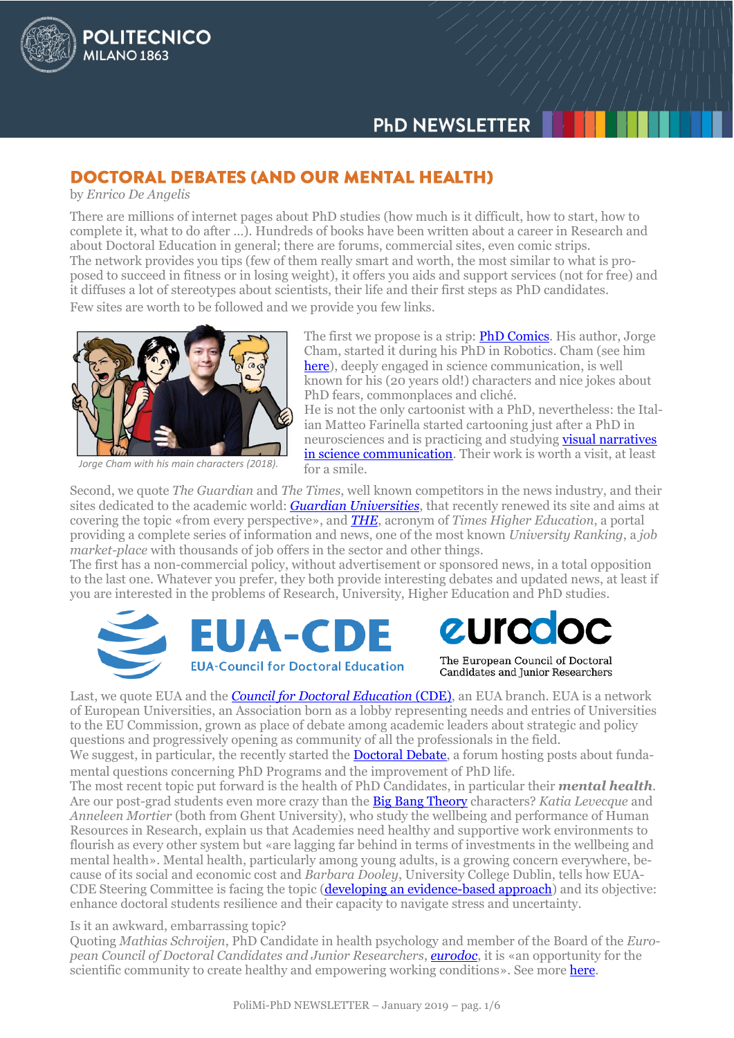# **DOCTORAL DEBATES (AND OUR MENTAL HEALTH)**

by *Enrico De Angelis*

**POLITECNICO** 

**MILANO 1863** 

There are millions of internet pages about PhD studies (how much is it difficult, how to start, how to complete it, what to do after …). Hundreds of books have been written about a career in Research and about Doctoral Education in general; there are forums, commercial sites, even comic strips. The network provides you tips (few of them really smart and worth, the most similar to what is proposed to succeed in fitness or in losing weight), it offers you aids and support services (not for free) and it diffuses a lot of stereotypes about scientists, their life and their first steps as PhD candidates. Few sites are worth to be followed and we provide you few links.



*Jorge Cham with his main characters (2018).*

The first we propose is a strip: **PhD Comics**. His author, Jorge Cham, started it during his PhD in Robotics. Cham (see him [here\)](https://youtu.be/AzcMEwAxSP8), deeply engaged in science communication, is well known for his (20 years old!) characters and nice jokes about PhD fears, commonplaces and cliché.

He is not the only cartoonist with a PhD, nevertheless: the Italian Matteo Farinella started cartooning just after a PhD in neurosciences and is practicing and studying **visual narratives** [in science communication.](http://www.cartoonscience.org/about/) Their work is worth a visit, at least for a smile.

Second, we quote *The Guardian* and *The Times*, well known competitors in the news industry, and their sites dedicated to the academic world: *[Guardian Universities](https://www.theguardian.com/education/2018/sep/18/welcome-to-guardian-universities)*, that recently renewed its site and aims at covering the topic «from every perspective», and *[THE](https://www.timeshighereducation.com/)*, acronym of *Times Higher Education*, a portal providing a complete series of information and news, one of the most known *University Ranking*, a *job market-place* with thousands of job offers in the sector and other things.

The first has a non-commercial policy, without advertisement or sponsored news, in a total opposition to the last one. Whatever you prefer, they both provide interesting debates and updated news, at least if you are interested in the problems of Research, University, Higher Education and PhD studies.



Last, we quote EUA and the *[Council for Doctoral Education](https://www.eua-cde.org/)* (CDE), an EUA branch. EUA is a network of European Universities, an Association born as a lobby representing needs and entries of Universities to the EU Commission, grown as place of debate among academic leaders about strategic and policy questions and progressively opening as community of all the professionals in the field.

We suggest, in particular, the recently started the **Doctoral Debate**, a forum hosting posts about fundamental questions concerning PhD Programs and the improvement of PhD life.

The most recent topic put forward is the health of PhD Candidates, in particular their *mental health*. Are our post-grad students even more crazy than the [Big Bang Theory](https://it.wikipedia.org/wiki/The_Big_Bang_Theory) characters? *Katia Levecque* and *Anneleen Mortier* (both from Ghent University), who study the wellbeing and performance of Human Resources in Research, explain us that Academies need healthy and supportive work environments to flourish as every other system but «are lagging far behind in terms of investments in the wellbeing and mental health». Mental health, particularly among young adults, is a growing concern everywhere, because of its social and economic cost and *Barbara Dooley*, University College Dublin, tells how EUA-CDE Steering Committee is facing the topic [\(developing an evidence-based approach\)](https://www.eua-cde.org/the-doctoral-debate/67-developing-an-evidence-based-approach-to-supporting-the-mental-health-of-doctoral-candidates.html) and its objective: enhance doctoral students resilience and their capacity to navigate stress and uncertainty.

#### Is it an awkward, embarrassing topic?

Quoting *Mathias Schroijen*, PhD Candidate in health psychology and member of the Board of the *European Council of Doctoral Candidates and Junior Researchers*, *[eurodoc](http://eurodoc.net/)*, it is «an opportunity for the scientific community to create healthy and empowering working conditions». See more [here.](https://eua-cde.org/the-doctoral-debate.html)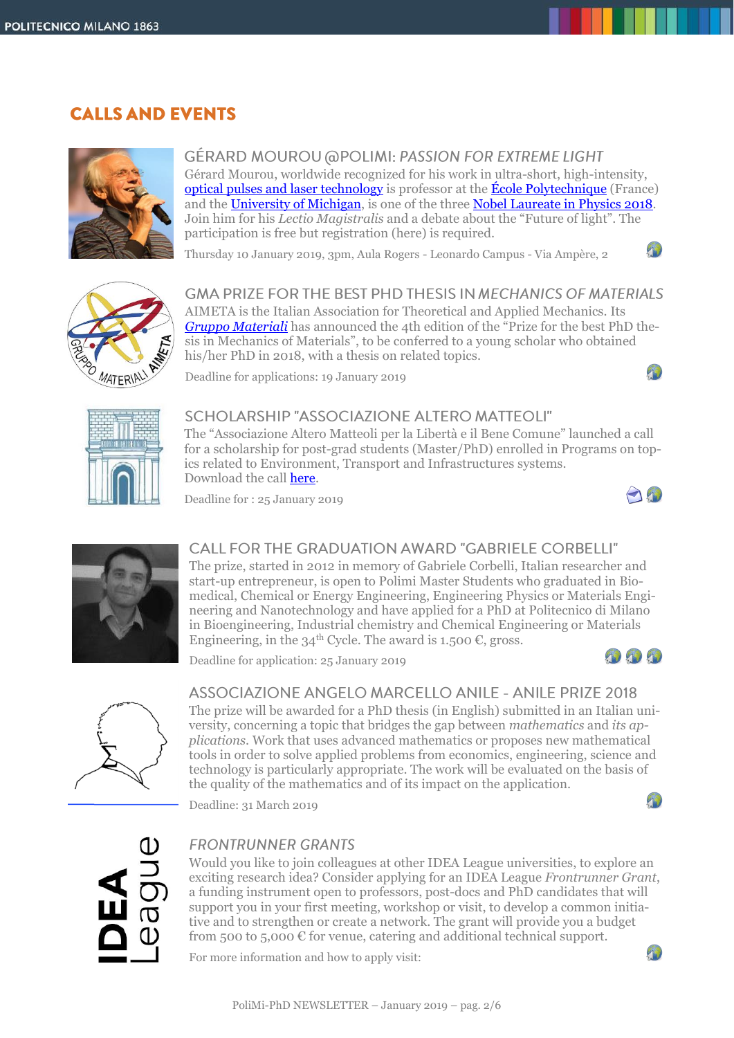# **CALLS AND EVENTS**



**GÉRARD MOUROU @POLIMI: PASSION FOR EXTREME LIGHT** Gérard Mourou, worldwide recognized for his work in ultra-short, high-intensity, [optical pulses and laser technology](https://www.polytechnique.edu/fr/content/un-projet-laser-initie-par-lx-rapporte-100meu-lindustrie-francaise) is professor at the [École Polytechnique](https://www.polytechnique.edu/annuaire/fr/users/gerard.mourou) (France) and the [University of](https://cuos.engin.umich.edu/researchgroups/hfs/profiles/gerard-mourou/) Michigan, is one of the three [Nobel Laureate in Physics 2018.](https://www.nobelprize.org/prizes/physics/2018/summary/) Join him for his *Lectio Magistralis* and a debate about the "Future of light". The participation is free but registration (here) is required.

Thursday 10 January 2019, 3pm, Aula Rogers - Leonardo Campus - Via Ampère, 2



**GMA PRIZE FOR THE BEST PHD THESIS IN MECHANICS OF MATERIALS** AIMETA is the Italian Association for Theoretical and Applied Mechanics. Its *[Gruppo Materiali](http://www.aimeta.it/node/12)* has announced the 4th edition of the "Prize for the best PhD thesis in Mechanics of Materials", to be conferred to a young scholar who obtained his/her PhD in 2018, with a thesis on related topics.  $\mathcal{F}_{\mathbf{L}}$ 

Deadline for applications: 19 January 2019



## SCHOLARSHIP "ASSOCIAZIONE ALTERO MATTEOLI"

The "Associazione Altero Matteoli per la Libertà e il Bene Comune" launched a call for a scholarship for post-grad students (Master/PhD) enrolled in Programs on topics related to Environment, Transport and Infrastructures systems. Download the call [here.](https://alteromatteoli.it/wp-content/uploads/2018/11/Bando-borsa-di-studio-Associazione-Matteoli.pdf)

Deadline for : 25 January 2019



 $10$ 



## CALL FOR THE GRADUATION AWARD "GABRIFLE CORBELLI"

The prize, started in 2012 in memory of Gabriele Corbelli, Italian researcher and start-up entrepreneur, is open to Polimi Master Students who graduated in Biomedical, Chemical or Energy Engineering, Engineering Physics or Materials Engineering and Nanotechnology and have applied for a PhD at Politecnico di Milano in Bioengineering, Industrial chemistry and Chemical Engineering or Materials Engineering, in the 34<sup>th</sup> Cycle. The award is 1.500 €, gross.

Deadline for application: 25 January 2019





#### ASSOCIAZIONE ANGELO MARCELLO ANILE - ANILE PRIZE 2018

The prize will be awarded for a PhD thesis (in English) submitted in an Italian university, concerning a topic that bridges the gap between *mathematics* and *its applications*. Work that uses advanced mathematics or proposes new mathematical tools in order to solve applied problems from economics, engineering, science and technology is particularly appropriate. The work will be evaluated on the basis of the quality of the mathematics and of its impact on the application.

Deadline: 31 March 2019



## **FRONTRUNNER GRANTS**

Would you like to join colleagues at other IDEA League universities, to explore an exciting research idea? Consider applying for an IDEA League *Frontrunner Grant*, a funding instrument open to professors, post-docs and PhD candidates that will support you in your first meeting, workshop or visit, to develop a common initiative and to strengthen or create a network. The grant will provide you a budget from 500 to 5,000  $\epsilon$  for venue, catering and additional technical support.

For more information and how to apply visit:

 $T_{\rm b}$ 

 $\mathcal{F}_{\mathcal{D}}$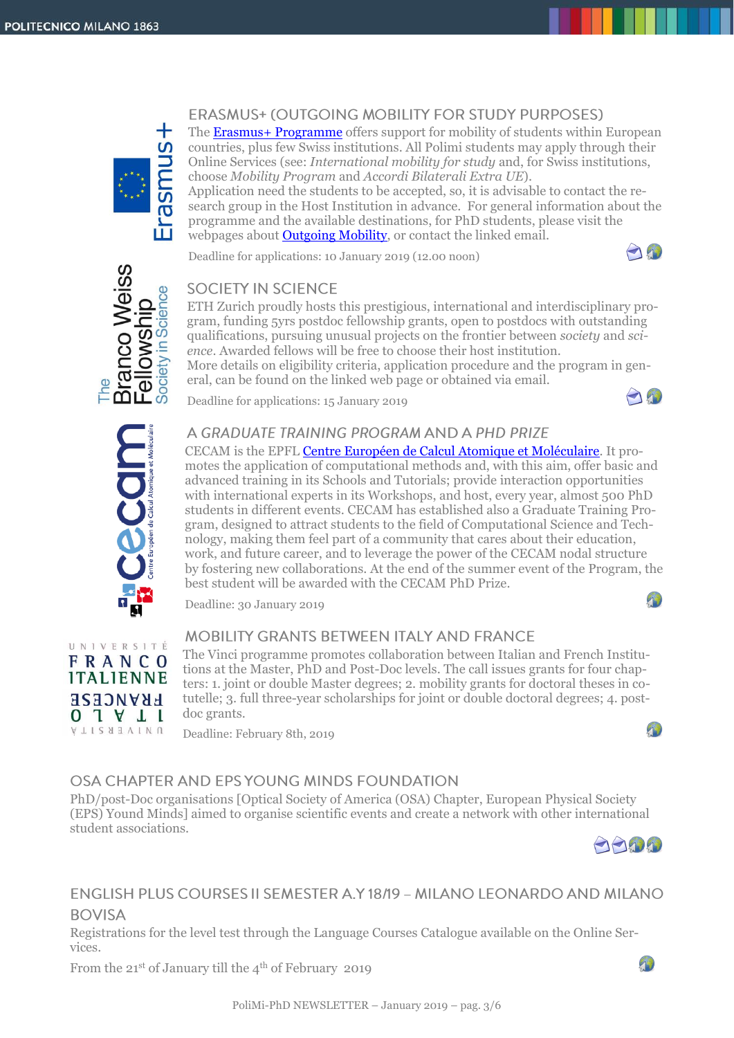

## ERASMUS+ (OUTGOING MOBILITY FOR STUDY PURPOSES)

The Erasmus+ [Programme](https://www.polimi.it/en/services-and-opportunities/experience-abroad/erasmus-plus/) offers support for mobility of students within European countries, plus few Swiss institutions. All Polimi students may apply through their Online Services (see: *International mobility for study* and, for Swiss institutions, choose *Mobility Program* and *Accordi Bilaterali Extra UE*).

Application need the students to be accepted, so, it is advisable to contact the research group in the Host Institution in advance. For general information about the programme and the available destinations, for PhD students, please visit the webpages about **Outgoing Mobility**, or contact the linked email.

Deadline for applications: 10 January 2019 (12.00 noon)





## **SOCIETY IN SCIENCE**

ETH Zurich proudly hosts this prestigious, international and interdisciplinary program, funding 5yrs postdoc fellowship grants, open to postdocs with outstanding qualifications, pursuing unusual projects on the frontier between *society* and *science*. Awarded fellows will be free to choose their host institution. More details on eligibility criteria, application procedure and the program in general, can be found on the linked web page or obtained via email.

Deadline for applications: 15 January 2019





UNIVERSITÉ **FRANCO ITALIENNE FRANCESE**  $0 1 1 1$ NUNEBSITY

## A GRADUATE TRAINING PROGRAM AND A PHD PRIZE

CECAM is the EPF[L Centre Européen de Calcul Atomique et Moléculaire.](https://www.cecam.org/) It promotes the application of computational methods and, with this aim, offer basic and advanced training in its Schools and Tutorials; provide interaction opportunities with international experts in its Workshops, and host, every year, almost 500 PhD students in different events. CECAM has established also a Graduate Training Program, designed to attract students to the field of Computational Science and Technology, making them feel part of a community that cares about their education, work, and future career, and to leverage the power of the CECAM nodal structure by fostering new collaborations. At the end of the summer event of the Program, the best student will be awarded with the CECAM PhD Prize.

Deadline: 30 January 2019

## **MOBILITY GRANTS BETWEEN ITALY AND FRANCE**

The Vinci programme promotes collaboration between Italian and French Institutions at the Master, PhD and Post-Doc levels. The call issues grants for four chapters: 1. joint or double Master degrees; 2. mobility grants for doctoral theses in cotutelle; 3. full three-year scholarships for joint or double doctoral degrees; 4. postdoc grants.

Deadline: February 8th, 2019



 $\sqrt{ }$ 

## OSA CHAPTER AND EPS YOUNG MINDS FOUNDATION

PhD/post-Doc organisations [Optical Society of America (OSA) Chapter, European Physical Society (EPS) Yound Minds] aimed to organise scientific events and create a network with other international student associations.



 $\mathcal{P}$ 

## ENGLISH PLUS COURSES II SEMESTER A.Y 18/19 - MILANO LEONARDO AND MILANO **BOVISA**

Registrations for the level test through the Language Courses Catalogue available on the Online Services.

From the  $21^{st}$  of January till the  $4^{th}$  of February 2019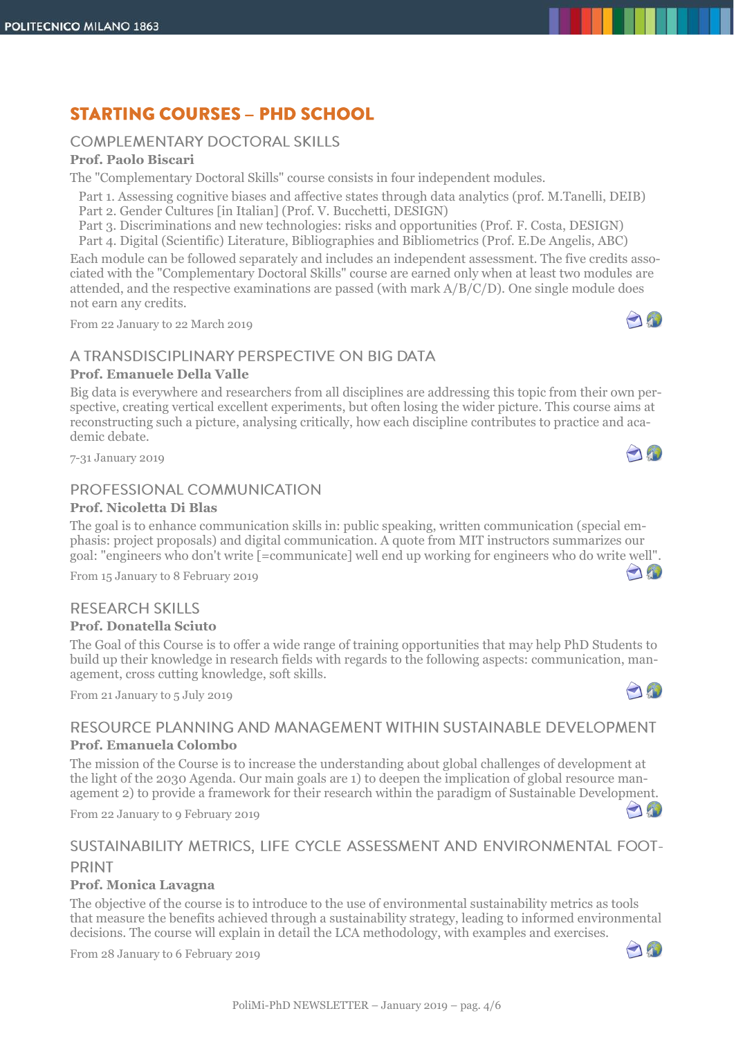# **STARTING COURSES - PHD SCHOOL**

#### **COMPLEMENTARY DOCTORAL SKILLS**

#### **Prof. Paolo Biscari**

The "Complementary Doctoral Skills" course consists in four independent modules.

- Part 1. Assessing cognitive biases and affective states through data analytics (prof. M.Tanelli, DEIB)
- Part 2. Gender Cultures [in Italian] (Prof. V. Bucchetti, DESIGN)

Part 3. Discriminations and new technologies: risks and opportunities (Prof. F. Costa, DESIGN)

Part 4. Digital (Scientific) Literature, Bibliographies and Bibliometrics (Prof. E.De Angelis, ABC)

Each module can be followed separately and includes an independent assessment. The five credits associated with the "Complementary Doctoral Skills" course are earned only when at least two modules are attended, and the respective examinations are passed (with mark A/B/C/D). One single module does not earn any credits.

From 22 January to 22 March 2019

## A TRANSDISCIPLINARY PERSPECTIVE ON BIG DATA

#### **Prof. Emanuele Della Valle**

Big data is everywhere and researchers from all disciplines are addressing this topic from their own perspective, creating vertical excellent experiments, but often losing the wider picture. This course aims at reconstructing such a picture, analysing critically, how each discipline contributes to practice and academic debate.

7-31 January 2019

## PROFESSIONAL COMMUNICATION

#### **Prof. Nicoletta Di Blas**

The goal is to enhance communication skills in: public speaking, written communication (special emphasis: project proposals) and digital communication. A quote from MIT instructors summarizes our goal: "engineers who don't write [=communicate] well end up working for engineers who do writ[e we](mailto:nicoletta.diblas@polimi.it)[ll".](https://aunicalogin.polimi.it/aunicalogin/getservizio.xml?id_servizio=178&c_classe=700089)

From 15 January to 8 February 2019

## **RESEARCH SKILLS**

#### **Prof. Donatella Sciuto**

The Goal of this Course is to offer a wide range of training opportunities that may help PhD Students to build up their knowledge in research fields with regards to the following aspects: communication, management, cross cutting knowledge, soft skills.

From 21 January to 5 July 2019

## RESOURCE PLANNING AND MANAGEMENT WITHIN SUSTAINABLE DEVELOPMENT **Prof. Emanuela Colombo**

The mission of the Course is to increase the understanding about global challenges of development at the light of the 2030 Agenda. Our main goals are 1) to deepen the implication of global resource management 2) to provide a framework for their research within the paradigm of Sustainable Development.

From 22 January to 9 February 2019

## SUSTAINABILITY METRICS, LIFE CYCLE ASSESSMENT AND ENVIRONMENTAL FOOT-**PRINT**

#### **Prof. Monica Lavagna**

The objective of the course is to introduce to the use of environmental sustainability metrics as tools that measure the benefits achieved through a sustainability strategy, leading to informed environmental decisions. The course will explain in detail the LCA methodology, with examples and exercises.

From 28 January to 6 February 2019



 $\bigcap_{i=1}^n$ 

 $\bigcap_{i=1}^n$ 

AW

AN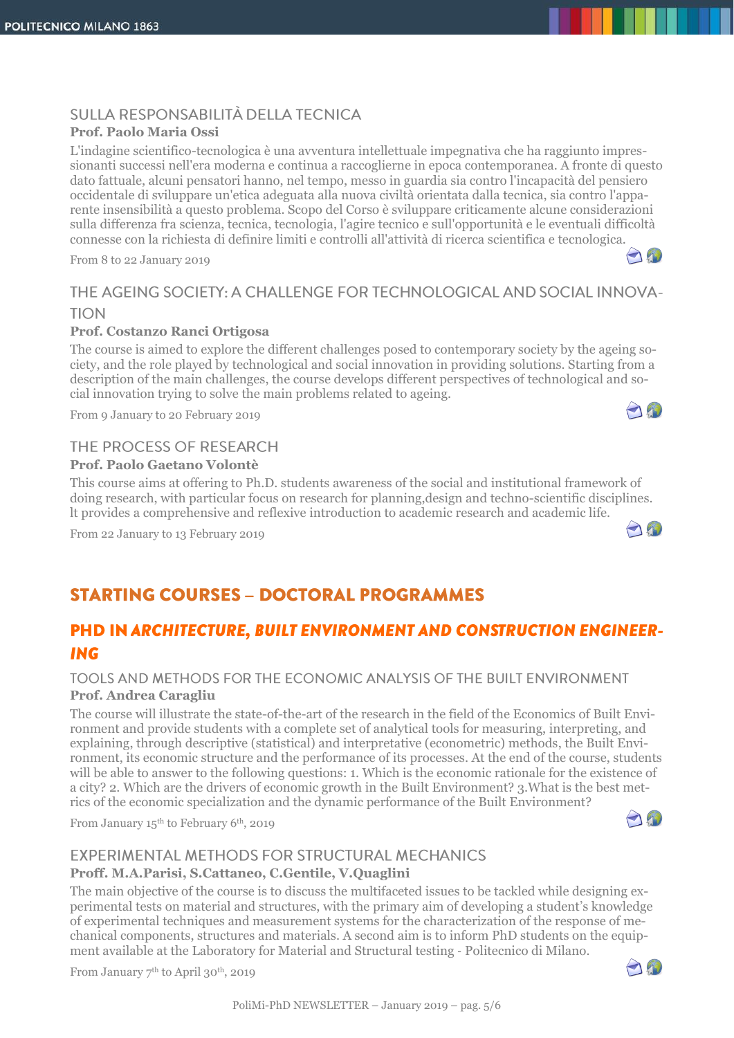## SULLA RESPONSABILITÀ DELLA TECNICA

#### **Prof. Paolo Maria Ossi**

L'indagine scientifico-tecnologica è una avventura intellettuale impegnativa che ha raggiunto impressionanti successi nell'era moderna e continua a raccoglierne in epoca contemporanea. A fronte di questo dato fattuale, alcuni pensatori hanno, nel tempo, messo in guardia sia contro l'incapacità del pensiero occidentale di sviluppare un'etica adeguata alla nuova civiltà orientata dalla tecnica, sia contro l'apparente insensibilità a questo problema. Scopo del Corso è sviluppare criticamente alcune considerazioni sulla differenza fra scienza, tecnica, tecnologia, l'agire tecnico e sull'opportunità e le eventuali difficoltà connesse con la richiesta di definire limiti e controlli all'attività di ricerca scientifica e tecnologica.

From 8 to 22 January 2019

## THE AGEING SOCIETY: A CHALLENGE FOR TECHNOLOGICAL AND SOCIAL INNOVA-**TION**

#### **Prof. Costanzo Ranci Ortigosa**

The course is aimed to explore the different challenges posed to contemporary society by the ageing society, and the role played by technological and social innovation in providing solutions. Starting from a description of the main challenges, the course develops different perspectives of technological and social innovation trying to solve the main problems related to ageing.

From 9 January to 20 February 2019

## THE PROCESS OF RESEARCH

#### **Prof. Paolo Gaetano Volontè**

This course aims at offering to Ph.D. students awareness of the social and institutional framework of doing research, with particular focus on research for planning,design and techno-scientific disciplines. lt provides a comprehensive and reflexive introduction to academic research and academic life.

From 22 January to 13 February 2019

# **STARTING COURSES - DOCTORAL PROGRAMMES**

## **PHD IN ARCHITECTURE, BUILT ENVIRONMENT AND CONSTRUCTION ENGINEER-ING**

#### TOOLS AND METHODS FOR THE ECONOMIC ANALYSIS OF THE BUILT ENVIRONMENT **Prof. Andrea Caragliu**

The course will illustrate the state-of-the-art of the research in the field of the Economics of Built Environment and provide students with a complete set of analytical tools for measuring, interpreting, and explaining, through descriptive (statistical) and interpretative (econometric) methods, the Built Environment, its economic structure and the performance of its processes. At the end of the course, students will be able to answer to the following questions: 1. Which is the economic rationale for the existence of a city? 2. Which are the drivers of economic growth in the Built Environment? 3.What is the best metrics of the economic specialization and the dynamic performance of the Built Environment?

From January 15<sup>th</sup> to February 6<sup>th</sup>, 2019

## EXPERIMENTAL METHODS FOR STRUCTURAL MECHANICS

#### **Proff. M.A.Parisi, S.Cattaneo, C.Gentile, V.Quaglini**

The main objective of the course is to discuss the multifaceted issues to be tackled while designing experimental tests on material and structures, with the primary aim of developing a student's knowledge of experimental techniques and measurement systems for the characterization of the response of mechanical components, structures and materials. A second aim is to inform PhD students on the equipment available at the Laboratory for Material and Structural testing ‐ Politecnico di Milano.

From January 7<sup>th</sup> to April 30<sup>th</sup>, 2019







190